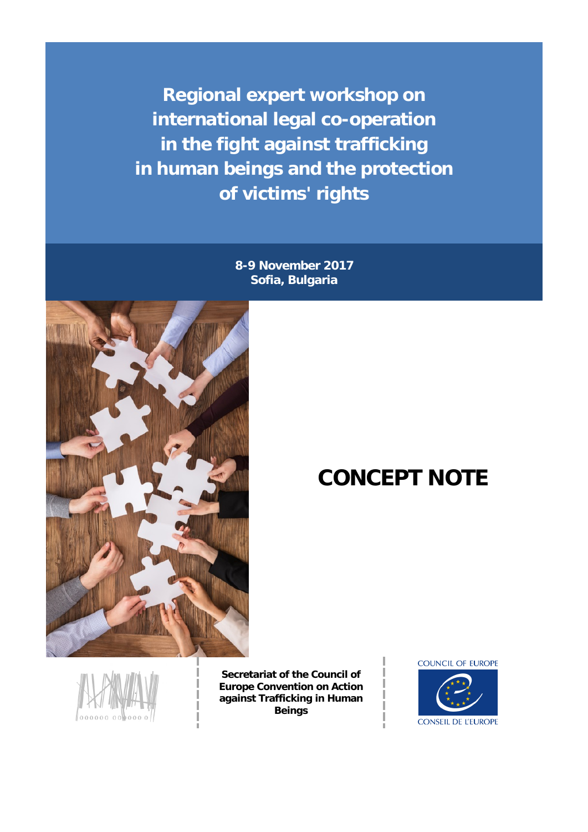**Regional expert workshop on international legal co-operation in the fight against trafficking in human beings and the protection of victims' rights**

> **8-9 November 2017 Sofia, Bulgaria**



## **Actionagainst Trafficking i CONCEPT NOTE**



**Secretariat of the Council of Europe Convention on Action against Trafficking in Human Beings**

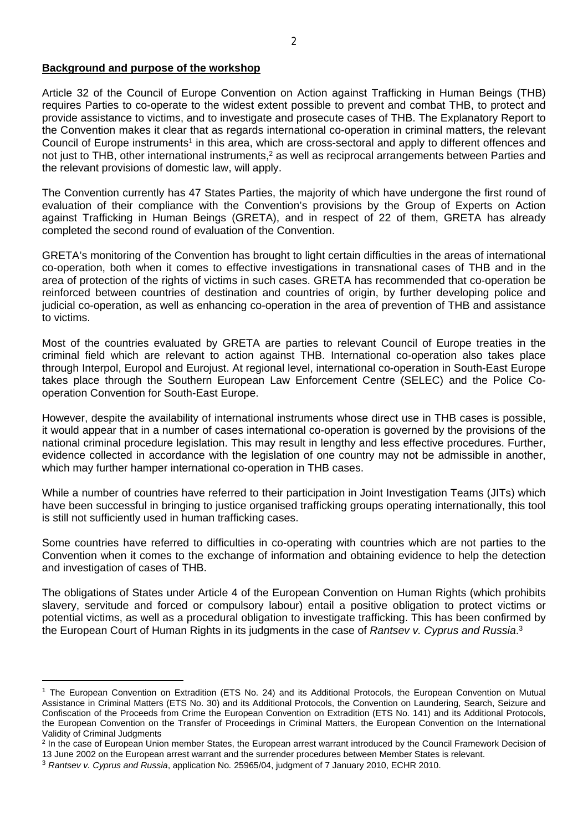## **Background and purpose of the workshop**

Article 32 of the Council of Europe Convention on Action against Trafficking in Human Beings (THB) requires Parties to co-operate to the widest extent possible to prevent and combat THB, to protect and provide assistance to victims, and to investigate and prosecute cases of THB. The Explanatory Report to the Convention makes it clear that as regards international co-operation in criminal matters, the relevant Council of Europe instruments<sup>1</sup> in this area, which are cross-sectoral and apply to different offences and not just to THB, other international instruments,<sup>2</sup> as well as reciprocal arrangements between Parties and the relevant provisions of domestic law, will apply.

The Convention currently has 47 States Parties, the majority of which have undergone the first round of evaluation of their compliance with the Convention's provisions by the Group of Experts on Action against Trafficking in Human Beings (GRETA), and in respect of 22 of them, GRETA has already completed the second round of evaluation of the Convention.

GRETA's monitoring of the Convention has brought to light certain difficulties in the areas of international co-operation, both when it comes to effective investigations in transnational cases of THB and in the area of protection of the rights of victims in such cases. GRETA has recommended that co-operation be reinforced between countries of destination and countries of origin, by further developing police and judicial co-operation, as well as enhancing co-operation in the area of prevention of THB and assistance to victims.

Most of the countries evaluated by GRETA are parties to relevant Council of Europe treaties in the criminal field which are relevant to action against THB. International co-operation also takes place through Interpol, Europol and Eurojust. At regional level, international co-operation in South-East Europe takes place through the Southern European Law Enforcement Centre (SELEC) and the Police Cooperation Convention for South-East Europe.

However, despite the availability of international instruments whose direct use in THB cases is possible, it would appear that in a number of cases international co-operation is governed by the provisions of the national criminal procedure legislation. This may result in lengthy and less effective procedures. Further, evidence collected in accordance with the legislation of one country may not be admissible in another, which may further hamper international co-operation in THB cases.

While a number of countries have referred to their participation in Joint Investigation Teams (JITs) which have been successful in bringing to justice organised trafficking groups operating internationally, this tool is still not sufficiently used in human trafficking cases.

Some countries have referred to difficulties in co-operating with countries which are not parties to the Convention when it comes to the exchange of information and obtaining evidence to help the detection and investigation of cases of THB.

The obligations of States under Article 4 of the European Convention on Human Rights (which prohibits slavery, servitude and forced or compulsory labour) entail a positive obligation to protect victims or potential victims, as well as a procedural obligation to investigate trafficking. This has been confirmed by the European Court of Human Rights in its judgments in the case of *Rantsev v. Cyprus and Russia*. 3

<sup>&</sup>lt;sup>1</sup> The European Convention on Extradition (ETS No. 24) and its Additional Protocols, the European Convention on Mutual Assistance in Criminal Matters (ETS No. 30) and its Additional Protocols, the Convention on Laundering, Search, Seizure and Confiscation of the Proceeds from Crime the European Convention on Extradition (ETS No. 141) and its Additional Protocols, the European Convention on the Transfer of Proceedings in Criminal Matters, the European Convention on the International Validity of Criminal Judgments

<sup>&</sup>lt;sup>2</sup> In the case of European Union member States, the European arrest warrant introduced by the Council Framework Decision of 13 June 2002 on the European arrest warrant and the surrender procedures between Member States is relevant.

<sup>3</sup> *Rantsev v. Cyprus and Russia*, application No*.* 25965/04, judgment of 7 January 2010, ECHR 2010.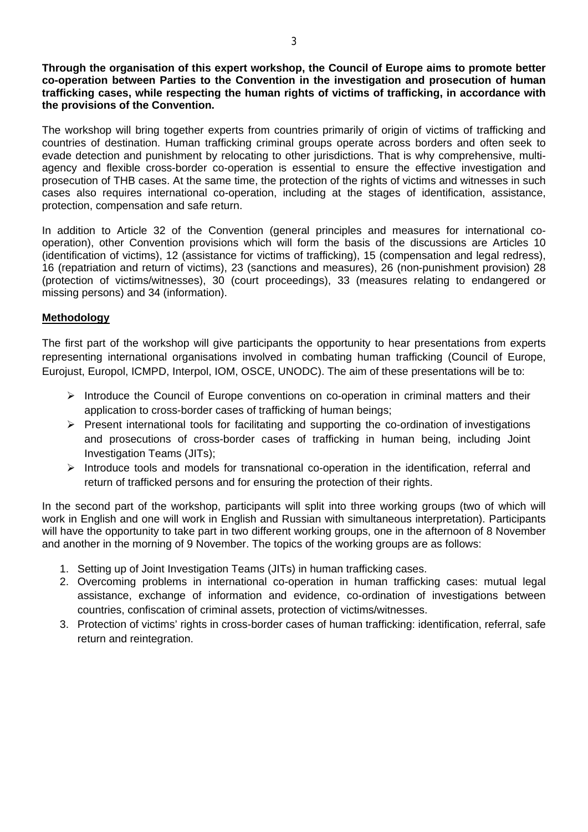**Through the organisation of this expert workshop, the Council of Europe aims to promote better co-operation between Parties to the Convention in the investigation and prosecution of human trafficking cases, while respecting the human rights of victims of trafficking, in accordance with the provisions of the Convention.** 

The workshop will bring together experts from countries primarily of origin of victims of trafficking and countries of destination. Human trafficking criminal groups operate across borders and often seek to evade detection and punishment by relocating to other jurisdictions. That is why comprehensive, multiagency and flexible cross-border co-operation is essential to ensure the effective investigation and prosecution of THB cases. At the same time, the protection of the rights of victims and witnesses in such cases also requires international co-operation, including at the stages of identification, assistance, protection, compensation and safe return.

In addition to Article 32 of the Convention (general principles and measures for international cooperation), other Convention provisions which will form the basis of the discussions are Articles 10 (identification of victims), 12 (assistance for victims of trafficking), 15 (compensation and legal redress), 16 (repatriation and return of victims), 23 (sanctions and measures), 26 (non-punishment provision) 28 (protection of victims/witnesses), 30 (court proceedings), 33 (measures relating to endangered or missing persons) and 34 (information).

## **Methodology**

The first part of the workshop will give participants the opportunity to hear presentations from experts representing international organisations involved in combating human trafficking (Council of Europe, Eurojust, Europol, ICMPD, Interpol, IOM, OSCE, UNODC). The aim of these presentations will be to:

- $\triangleright$  Introduce the Council of Europe conventions on co-operation in criminal matters and their application to cross-border cases of trafficking of human beings;
- $\triangleright$  Present international tools for facilitating and supporting the co-ordination of investigations and prosecutions of cross-border cases of trafficking in human being, including Joint Investigation Teams (JITs);
- $\triangleright$  Introduce tools and models for transnational co-operation in the identification, referral and return of trafficked persons and for ensuring the protection of their rights.

In the second part of the workshop, participants will split into three working groups (two of which will work in English and one will work in English and Russian with simultaneous interpretation). Participants will have the opportunity to take part in two different working groups, one in the afternoon of 8 November and another in the morning of 9 November. The topics of the working groups are as follows:

- 1. Setting up of Joint Investigation Teams (JITs) in human trafficking cases.
- 2. Overcoming problems in international co-operation in human trafficking cases: mutual legal assistance, exchange of information and evidence, co-ordination of investigations between countries, confiscation of criminal assets, protection of victims/witnesses.
- 3. Protection of victims' rights in cross-border cases of human trafficking: identification, referral, safe return and reintegration.